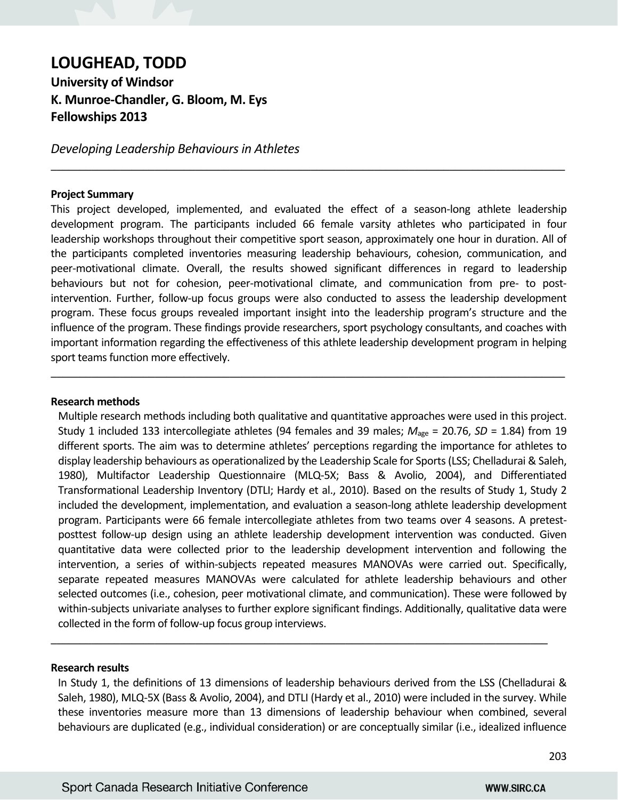# **LOUGHEAD, TODD**

**University of Windsor K. Munroe‐Chandler, G. Bloom, M. Eys Fellowships 2013** 

*Developing Leadership Behaviours in Athletes* 

#### **Project Summary**

This project developed, implemented, and evaluated the effect of a season-long athlete leadership development program. The participants included 66 female varsity athletes who participated in four leadership workshops throughout their competitive sport season, approximately one hour in duration. All of the participants completed inventories measuring leadership behaviours, cohesion, communication, and peer-motivational climate. Overall, the results showed significant differences in regard to leadership behaviours but not for cohesion, peer-motivational climate, and communication from pre- to postintervention. Further, follow-up focus groups were also conducted to assess the leadership development program. These focus groups revealed important insight into the leadership program's structure and the influence of the program. These findings provide researchers, sport psychology consultants, and coaches with important information regarding the effectiveness of this athlete leadership development program in helping sport teams function more effectively.

\_\_\_\_\_\_\_\_\_\_\_\_\_\_\_\_\_\_\_\_\_\_\_\_\_\_\_\_\_\_\_\_\_\_\_\_\_\_\_\_\_\_\_\_\_\_\_\_\_\_\_\_\_\_\_\_\_\_\_\_\_\_\_\_\_\_\_\_\_\_\_\_\_\_\_\_\_\_\_\_\_\_\_\_\_\_\_\_\_

\_\_\_\_\_\_\_\_\_\_\_\_\_\_\_\_\_\_\_\_\_\_\_\_\_\_\_\_\_\_\_\_\_\_\_\_\_\_\_\_\_\_\_\_\_\_\_\_\_\_\_\_\_\_\_\_\_\_\_\_\_\_\_\_\_\_\_\_\_\_\_\_\_\_\_\_\_\_\_\_\_\_\_\_\_\_\_\_\_

#### **Research methods**

Multiple research methods including both qualitative and quantitative approaches were used in this project. Study 1 included 133 intercollegiate athletes (94 females and 39 males; *M*age = 20.76, *SD* = 1.84) from 19 different sports. The aim was to determine athletes' perceptions regarding the importance for athletes to display leadership behaviours as operationalized by the Leadership Scale for Sports (LSS; Chelladurai & Saleh, 1980), Multifactor Leadership Questionnaire (MLQ‐5X; Bass & Avolio, 2004), and Differentiated Transformational Leadership Inventory (DTLI; Hardy et al., 2010). Based on the results of Study 1, Study 2 included the development, implementation, and evaluation a season-long athlete leadership development program. Participants were 66 female intercollegiate athletes from two teams over 4 seasons. A pretestposttest follow‐up design using an athlete leadership development intervention was conducted. Given quantitative data were collected prior to the leadership development intervention and following the intervention, a series of within‐subjects repeated measures MANOVAs were carried out. Specifically, separate repeated measures MANOVAs were calculated for athlete leadership behaviours and other selected outcomes (i.e., cohesion, peer motivational climate, and communication). These were followed by within-subjects univariate analyses to further explore significant findings. Additionally, qualitative data were collected in the form of follow‐up focus group interviews.

#### **Research results**

In Study 1, the definitions of 13 dimensions of leadership behaviours derived from the LSS (Chelladurai & Saleh, 1980), MLQ‐5X (Bass & Avolio, 2004), and DTLI (Hardy et al., 2010) were included in the survey. While these inventories measure more than 13 dimensions of leadership behaviour when combined, several behaviours are duplicated (e.g., individual consideration) or are conceptually similar (i.e., idealized influence

\_\_\_\_\_\_\_\_\_\_\_\_\_\_\_\_\_\_\_\_\_\_\_\_\_\_\_\_\_\_\_\_\_\_\_\_\_\_\_\_\_\_\_\_\_\_\_\_\_\_\_\_\_\_\_\_\_\_\_\_\_\_\_\_\_\_\_\_\_\_\_\_\_\_\_\_\_\_\_\_\_\_\_\_\_\_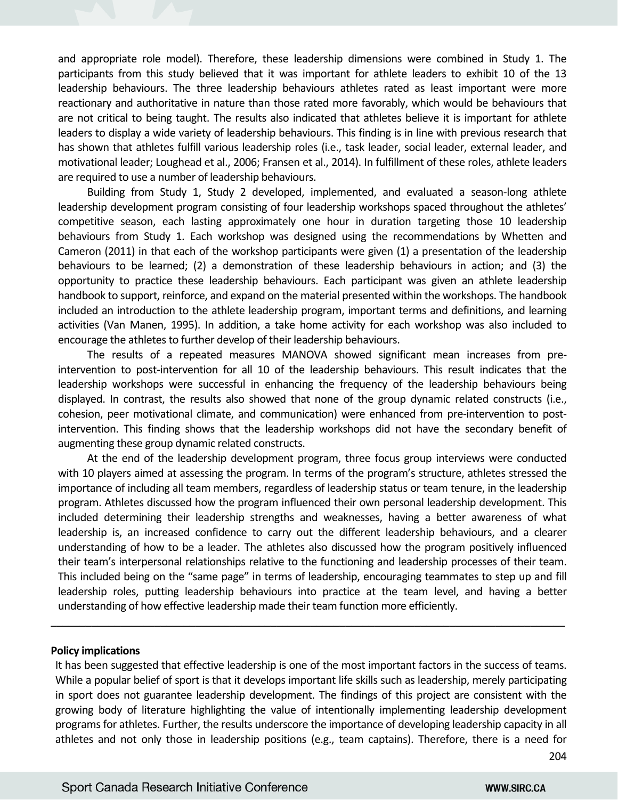and appropriate role model). Therefore, these leadership dimensions were combined in Study 1. The participants from this study believed that it was important for athlete leaders to exhibit 10 of the 13 leadership behaviours. The three leadership behaviours athletes rated as least important were more reactionary and authoritative in nature than those rated more favorably, which would be behaviours that are not critical to being taught. The results also indicated that athletes believe it is important for athlete leaders to display a wide variety of leadership behaviours. This finding is in line with previous research that has shown that athletes fulfill various leadership roles (i.e., task leader, social leader, external leader, and motivational leader; Loughead et al., 2006; Fransen et al., 2014). In fulfillment of these roles, athlete leaders are required to use a number of leadership behaviours.

Building from Study 1, Study 2 developed, implemented, and evaluated a season-long athlete leadership development program consisting of four leadership workshops spaced throughout the athletes' competitive season, each lasting approximately one hour in duration targeting those 10 leadership behaviours from Study 1. Each workshop was designed using the recommendations by Whetten and Cameron (2011) in that each of the workshop participants were given (1) a presentation of the leadership behaviours to be learned; (2) a demonstration of these leadership behaviours in action; and (3) the opportunity to practice these leadership behaviours. Each participant was given an athlete leadership handbook to support, reinforce, and expand on the material presented within the workshops. The handbook included an introduction to the athlete leadership program, important terms and definitions, and learning activities (Van Manen, 1995). In addition, a take home activity for each workshop was also included to encourage the athletes to further develop of their leadership behaviours.

The results of a repeated measures MANOVA showed significant mean increases from preintervention to post‐intervention for all 10 of the leadership behaviours. This result indicates that the leadership workshops were successful in enhancing the frequency of the leadership behaviours being displayed. In contrast, the results also showed that none of the group dynamic related constructs (i.e., cohesion, peer motivational climate, and communication) were enhanced from pre-intervention to postintervention. This finding shows that the leadership workshops did not have the secondary benefit of augmenting these group dynamic related constructs.

At the end of the leadership development program, three focus group interviews were conducted with 10 players aimed at assessing the program. In terms of the program's structure, athletes stressed the importance of including all team members, regardless of leadership status or team tenure, in the leadership program. Athletes discussed how the program influenced their own personal leadership development. This included determining their leadership strengths and weaknesses, having a better awareness of what leadership is, an increased confidence to carry out the different leadership behaviours, and a clearer understanding of how to be a leader. The athletes also discussed how the program positively influenced their team's interpersonal relationships relative to the functioning and leadership processes of their team. This included being on the "same page" in terms of leadership, encouraging teammates to step up and fill leadership roles, putting leadership behaviours into practice at the team level, and having a better understanding of how effective leadership made their team function more efficiently.

#### **Policy implications**

It has been suggested that effective leadership is one of the most important factors in the success of teams. While a popular belief of sport is that it develops important life skills such as leadership, merely participating in sport does not guarantee leadership development. The findings of this project are consistent with the growing body of literature highlighting the value of intentionally implementing leadership development programs for athletes. Further, the results underscore the importance of developing leadership capacity in all athletes and not only those in leadership positions (e.g., team captains). Therefore, there is a need for

\_\_\_\_\_\_\_\_\_\_\_\_\_\_\_\_\_\_\_\_\_\_\_\_\_\_\_\_\_\_\_\_\_\_\_\_\_\_\_\_\_\_\_\_\_\_\_\_\_\_\_\_\_\_\_\_\_\_\_\_\_\_\_\_\_\_\_\_\_\_\_\_\_\_\_\_\_\_\_\_\_\_\_\_\_\_\_\_\_

204